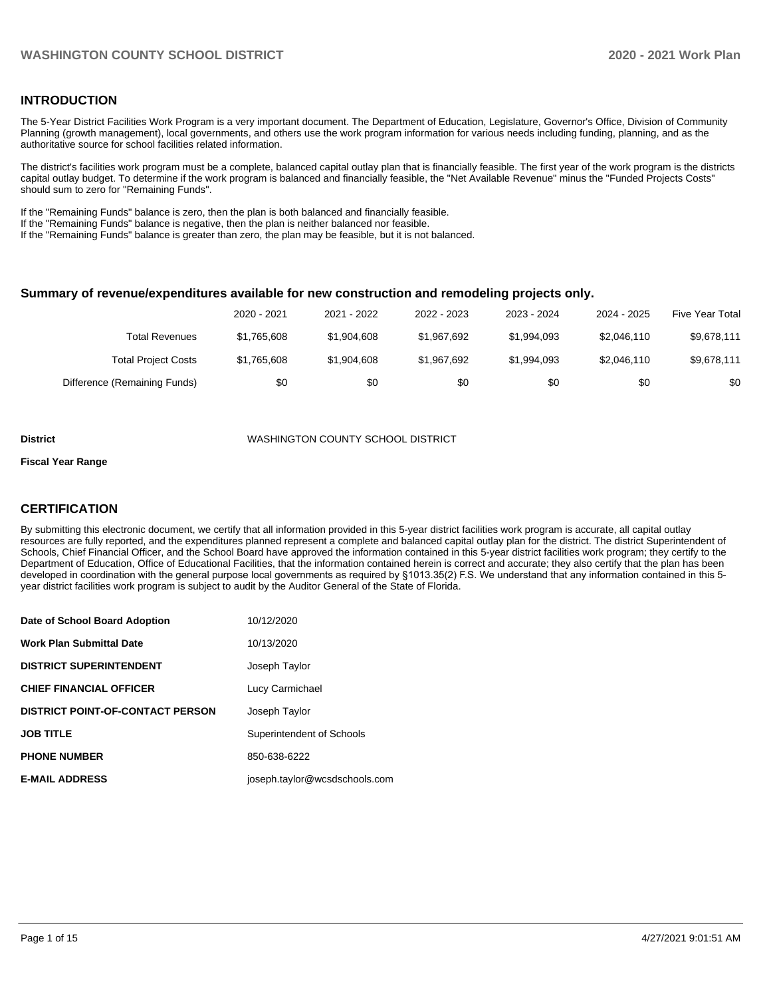#### **INTRODUCTION**

The 5-Year District Facilities Work Program is a very important document. The Department of Education, Legislature, Governor's Office, Division of Community Planning (growth management), local governments, and others use the work program information for various needs including funding, planning, and as the authoritative source for school facilities related information.

The district's facilities work program must be a complete, balanced capital outlay plan that is financially feasible. The first year of the work program is the districts capital outlay budget. To determine if the work program is balanced and financially feasible, the "Net Available Revenue" minus the "Funded Projects Costs" should sum to zero for "Remaining Funds".

If the "Remaining Funds" balance is zero, then the plan is both balanced and financially feasible.

If the "Remaining Funds" balance is negative, then the plan is neither balanced nor feasible.

If the "Remaining Funds" balance is greater than zero, the plan may be feasible, but it is not balanced.

#### **Summary of revenue/expenditures available for new construction and remodeling projects only.**

| <b>Five Year Total</b> | 2024 - 2025 | 2023 - 2024 | 2022 - 2023 | 2021 - 2022 | 2020 - 2021 |                              |
|------------------------|-------------|-------------|-------------|-------------|-------------|------------------------------|
| \$9,678,111            | \$2,046,110 | \$1.994.093 | \$1.967.692 | \$1,904,608 | \$1.765.608 | Total Revenues               |
| \$9,678,111            | \$2,046,110 | \$1.994.093 | \$1.967.692 | \$1,904,608 | \$1,765,608 | <b>Total Project Costs</b>   |
| \$0                    | \$0         | \$0         | \$0         | \$0         | \$0         | Difference (Remaining Funds) |

#### **District** WASHINGTON COUNTY SCHOOL DISTRICT

#### **Fiscal Year Range**

## **CERTIFICATION**

By submitting this electronic document, we certify that all information provided in this 5-year district facilities work program is accurate, all capital outlay resources are fully reported, and the expenditures planned represent a complete and balanced capital outlay plan for the district. The district Superintendent of Schools, Chief Financial Officer, and the School Board have approved the information contained in this 5-year district facilities work program; they certify to the Department of Education, Office of Educational Facilities, that the information contained herein is correct and accurate; they also certify that the plan has been developed in coordination with the general purpose local governments as required by §1013.35(2) F.S. We understand that any information contained in this 5 year district facilities work program is subject to audit by the Auditor General of the State of Florida.

| Date of School Board Adoption           | 10/12/2020                    |
|-----------------------------------------|-------------------------------|
| <b>Work Plan Submittal Date</b>         | 10/13/2020                    |
| <b>DISTRICT SUPERINTENDENT</b>          | Joseph Taylor                 |
| <b>CHIEF FINANCIAL OFFICER</b>          | Lucy Carmichael               |
| <b>DISTRICT POINT-OF-CONTACT PERSON</b> | Joseph Taylor                 |
| <b>JOB TITLE</b>                        | Superintendent of Schools     |
| <b>PHONE NUMBER</b>                     | 850-638-6222                  |
| <b>E-MAIL ADDRESS</b>                   | joseph.taylor@wcsdschools.com |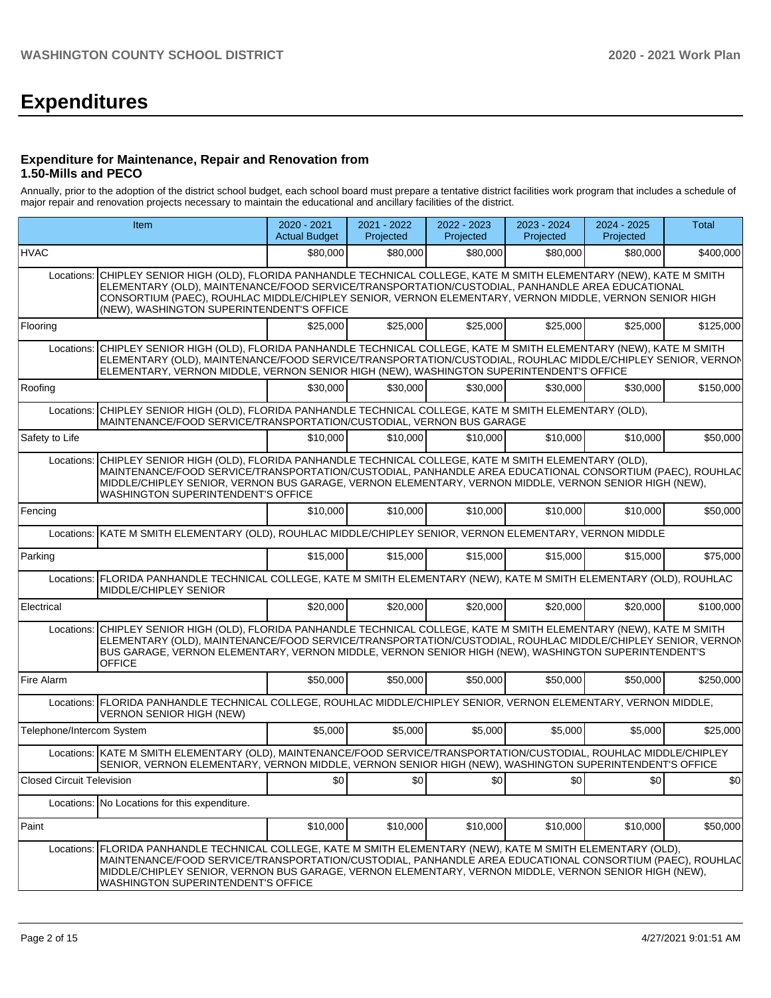# **Expenditures**

#### **Expenditure for Maintenance, Repair and Renovation from 1.50-Mills and PECO**

Annually, prior to the adoption of the district school budget, each school board must prepare a tentative district facilities work program that includes a schedule of major repair and renovation projects necessary to maintain the educational and ancillary facilities of the district.

|                           | Item                                                                                                                                                                                                                                                                                                                                                                  | 2020 - 2021<br><b>Actual Budget</b> | 2021 - 2022<br>Projected | 2022 - 2023<br>Projected | 2023 - 2024<br>Projected | 2024 - 2025<br>Projected | Total        |
|---------------------------|-----------------------------------------------------------------------------------------------------------------------------------------------------------------------------------------------------------------------------------------------------------------------------------------------------------------------------------------------------------------------|-------------------------------------|--------------------------|--------------------------|--------------------------|--------------------------|--------------|
| <b>HVAC</b>               |                                                                                                                                                                                                                                                                                                                                                                       | \$80,000                            | \$80,000                 | \$80,000                 | \$80,000                 | \$80,000                 | \$400,000    |
| Locations:                | CHIPLEY SENIOR HIGH (OLD), FLORIDA PANHANDLE TECHNICAL COLLEGE, KATE M SMITH ELEMENTARY (NEW), KATE M SMITH<br>ELEMENTARY (OLD), MAINTÉNANCE/FOOD SERVICE/TRANSPORTATION/CUSTODIAL, PANHANDLE AREA EDUCATIONAL<br>CONSORTIUM (PAEC), ROUHLAC MIDDLE/CHIPLEY SENIOR, VERNON ELEMENTARY, VERNON MIDDLE, VERNON SENIOR HIGH<br>(NEW), WASHINGTON SUPERINTENDENT'S OFFICE |                                     |                          |                          |                          |                          |              |
| Flooring                  |                                                                                                                                                                                                                                                                                                                                                                       | \$25,000                            | \$25,000                 | \$25,000                 | \$25,000                 | \$25,000                 | \$125,000    |
| Locations:                | CHIPLEY SENIOR HIGH (OLD), FLORIDA PANHANDLE TECHNICAL COLLEGE, KATE M SMITH ELEMENTARY (NEW), KATE M SMITH<br>ELEMENTARY (OLD), MAINTENANCE/FOOD SERVICE/TRANSPORTATION/CUSTODIAL, ROUHLAC MIDDLE/CHIPLEY SENIOR, VERNON<br>ELEMENTARY, VERNON MIDDLE, VERNON SENIOR HIGH (NEW), WASHINGTON SUPERINTENDENT'S OFFICE                                                  |                                     |                          |                          |                          |                          |              |
| Roofing                   |                                                                                                                                                                                                                                                                                                                                                                       | \$30,000                            | \$30.000                 | \$30,000                 | \$30,000                 | \$30,000                 | \$150,000    |
| Locations:                | CHIPLEY SENIOR HIGH (OLD), FLORIDA PANHANDLE TECHNICAL COLLEGE, KATE M SMITH ELEMENTARY (OLD),<br>MAINTENANCE/FOOD SERVICE/TRANSPORTATION/CUSTODIAL, VERNON BUS GARAGE                                                                                                                                                                                                |                                     |                          |                          |                          |                          |              |
| Safety to Life            |                                                                                                                                                                                                                                                                                                                                                                       | \$10,000                            | \$10,000                 | \$10,000                 | \$10,000                 | \$10,000                 | \$50,000     |
| Locations:                | CHIPLEY SENIOR HIGH (OLD), FLORIDA PANHANDLE TECHNICAL COLLEGE, KATE M SMITH ELEMENTARY (OLD),<br>MAINTENANCE/FOOD SERVICE/TRANSPORTATION/CUSTODIAL, PANHANDLE AREA EDUCATIONAL CONSORTIUM (PAEC), ROUHLAC<br>MIDDLE/CHIPLEY SENIOR, VERNON BUS GARAGE, VERNON ELEMENTARY, VERNON MIDDLE, VERNON SENIOR HIGH (NEW),<br><b>WASHINGTON SUPERINTENDENT'S OFFICE</b>      |                                     |                          |                          |                          |                          |              |
| Fencing                   |                                                                                                                                                                                                                                                                                                                                                                       | \$10,000                            | \$10,000                 | \$10,000                 | \$10,000                 | \$10,000                 | \$50,000     |
|                           | Locations: KATE M SMITH ELEMENTARY (OLD), ROUHLAC MIDDLE/CHIPLEY SENIOR, VERNON ELEMENTARY, VERNON MIDDLE                                                                                                                                                                                                                                                             |                                     |                          |                          |                          |                          |              |
| Parking                   |                                                                                                                                                                                                                                                                                                                                                                       | \$15,000                            | \$15,000                 | \$15,000                 | \$15,000                 | \$15,000                 | \$75,000     |
|                           | Locations: FLORIDA PANHANDLE TECHNICAL COLLEGE, KATE M SMITH ELEMENTARY (NEW), KATE M SMITH ELEMENTARY (OLD), ROUHLAC<br>MIDDLE/CHIPLEY SENIOR                                                                                                                                                                                                                        |                                     |                          |                          |                          |                          |              |
| Electrical                |                                                                                                                                                                                                                                                                                                                                                                       | \$20,000                            | \$20,000                 | \$20,000                 | \$20,000                 | \$20,000                 | \$100,000    |
| Locations:                | CHIPLEY SENIOR HIGH (OLD), FLORIDA PANHANDLE TECHNICAL COLLEGE, KATE M SMITH ELEMENTARY (NEW), KATE M SMITH<br>ELEMENTARY (OLD), MAINTENANCE/FOOD SERVICE/TRANSPORTATION/CUSTODIAL, ROUHLAC MIDDLE/CHIPLEY SENIOR, VERNON<br>BUS GARAGE, VERNON ELEMENTARY, VERNON MIDDLE, VERNON SENIOR HIGH (NEW), WASHINGTON SUPERINTENDENT'S<br><b>OFFICE</b>                     |                                     |                          |                          |                          |                          |              |
| Fire Alarm                |                                                                                                                                                                                                                                                                                                                                                                       | \$50,000                            | \$50,000                 | \$50,000                 | \$50,000                 | \$50,000                 | \$250,000    |
|                           | Locations: FLORIDA PANHANDLE TECHNICAL COLLEGE, ROUHLAC MIDDLE/CHIPLEY SENIOR, VERNON ELEMENTARY, VERNON MIDDLE,<br><b>VERNON SENIOR HIGH (NEW)</b>                                                                                                                                                                                                                   |                                     |                          |                          |                          |                          |              |
| Telephone/Intercom System |                                                                                                                                                                                                                                                                                                                                                                       | \$5,000                             | \$5,000                  | \$5,000                  | \$5,000                  | \$5,000                  | \$25,000     |
|                           | Locations: KATE M SMITH ELEMENTARY (OLD), MAINTENANCE/FOOD SERVICE/TRANSPORTATION/CUSTODIAL, ROUHLAC MIDDLE/CHIPLEY<br>SENIOR, VERNON ELEMENTARY, VERNON MIDDLE, VERNON SENIOR HIGH (NEW), WASHINGTON SUPERINTENDENT'S OFFICE                                                                                                                                         |                                     |                          |                          |                          |                          |              |
| Closed Circuit Television |                                                                                                                                                                                                                                                                                                                                                                       | \$0]                                | \$0                      | \$0                      | \$0                      | \$0                      | $ 10\rangle$ |
|                           | Locations: No Locations for this expenditure.                                                                                                                                                                                                                                                                                                                         |                                     |                          |                          |                          |                          |              |
| Paint                     |                                                                                                                                                                                                                                                                                                                                                                       | \$10,000                            | \$10,000                 | \$10,000                 | \$10,000                 | \$10,000                 | \$50,000     |
| Locations:                | FLORIDA PANHANDLE TECHNICAL COLLEGE, KATE M SMITH ELEMENTARY (NEW), KATE M SMITH ELEMENTARY (OLD),<br>MAINTENANCE/FOOD SERVICE/TRANSPORTATION/CUSTODIAL, PANHANDLE AREA EDUCATIONAL CONSORTIUM (PAEC), ROUHLAC<br>MIDDLE/CHIPLEY SENIOR, VERNON BUS GARAGE, VERNON ELEMENTARY, VERNON MIDDLE, VERNON SENIOR HIGH (NEW),<br><b>WASHINGTON SUPERINTENDENT'S OFFICE</b>  |                                     |                          |                          |                          |                          |              |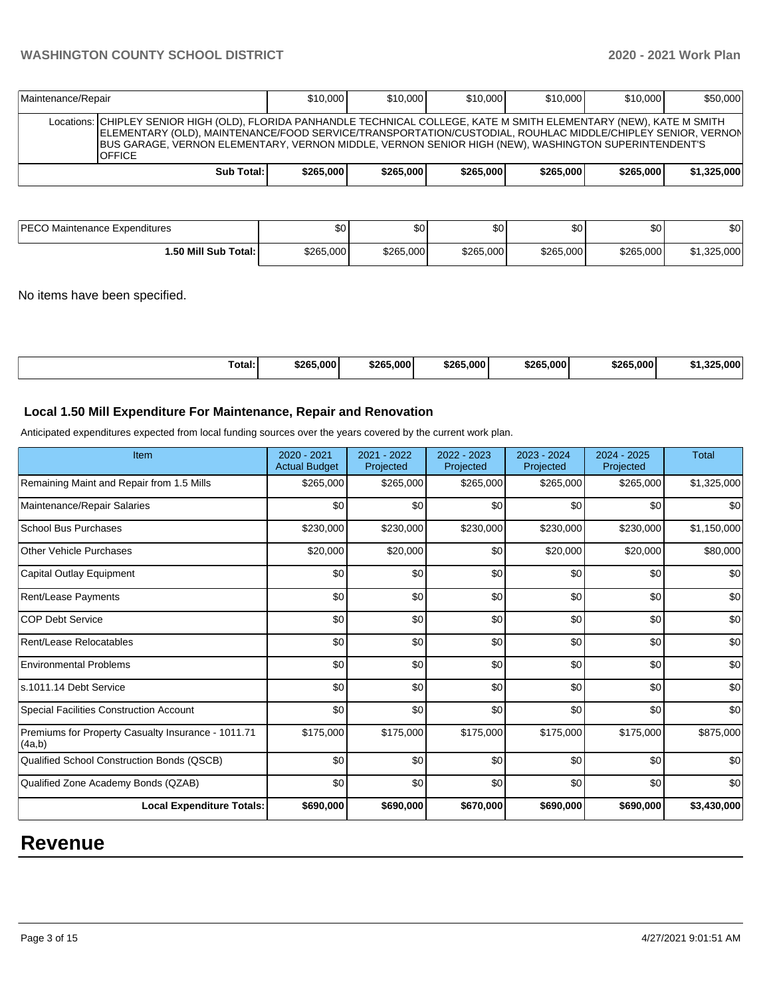## **WASHINGTON COUNTY SCHOOL DISTRICT 2020 - 2021 Work Plan**

| Maintenance/Repair |                                                                                                                                                                                                                                                                                                                                                              | \$10,000  | \$10,000  | \$10,000  | \$10,000  | \$10,000  | \$50,000    |
|--------------------|--------------------------------------------------------------------------------------------------------------------------------------------------------------------------------------------------------------------------------------------------------------------------------------------------------------------------------------------------------------|-----------|-----------|-----------|-----------|-----------|-------------|
|                    | Locations: CHIPLEY SENIOR HIGH (OLD), FLORIDA PANHANDLE TECHNICAL COLLEGE, KATE M SMITH ELEMENTARY (NEW), KATE M SMITH<br>ELEMENTARY (OLD), MAINTENANCE/FOOD SERVICE/TRANSPORTATION/CUSTODIAL, ROUHLAC MIDDLE/CHIPLEY SENIOR, VERNON<br>BUS GARAGE, VERNON ELEMENTARY, VERNON MIDDLE, VERNON SENIOR HIGH (NEW), WASHINGTON SUPERINTENDENT'S<br><b>OFFICE</b> |           |           |           |           |           |             |
|                    | Sub Total:                                                                                                                                                                                                                                                                                                                                                   | \$265,000 | \$265,000 | \$265,000 | \$265,000 | \$265.000 | \$1,325,000 |

| PECO Maintenance Expenditures | Φn<br>uv. | ሶ∩<br>ъU. | \$0 I     | ሶስ<br>Ψ∪  | ¢∩<br>υU  | \$0         |
|-------------------------------|-----------|-----------|-----------|-----------|-----------|-------------|
| 1.50 Mill Sub Total: I        | \$265,000 | \$265,000 | \$265,000 | \$265,000 | \$265,000 | \$1,325,000 |

No items have been specified.

| \$265,000<br>\$265.000<br>Total:<br>\$265,000<br>\$265.000<br>\$265,000<br>00E | .000' |
|--------------------------------------------------------------------------------|-------|
|--------------------------------------------------------------------------------|-------|

## **Local 1.50 Mill Expenditure For Maintenance, Repair and Renovation**

Anticipated expenditures expected from local funding sources over the years covered by the current work plan.

| Item                                                         | 2020 - 2021<br><b>Actual Budget</b> | 2021 - 2022<br>Projected | 2022 - 2023<br>Projected | 2023 - 2024<br>Projected | 2024 - 2025<br>Projected | <b>Total</b> |
|--------------------------------------------------------------|-------------------------------------|--------------------------|--------------------------|--------------------------|--------------------------|--------------|
| Remaining Maint and Repair from 1.5 Mills                    | \$265,000                           | \$265,000                | \$265,000                | \$265,000                | \$265,000                | \$1,325,000  |
| Maintenance/Repair Salaries                                  | \$0                                 | \$0                      | \$0                      | \$0                      | \$0                      | \$0          |
| School Bus Purchases                                         | \$230,000                           | \$230,000                | \$230,000                | \$230,000                | \$230,000                | \$1,150,000  |
| <b>Other Vehicle Purchases</b>                               | \$20,000                            | \$20,000                 | \$0                      | \$20,000                 | \$20,000                 | \$80,000     |
| Capital Outlay Equipment                                     | \$0                                 | \$0                      | \$0                      | \$0                      | \$0                      | \$0          |
| <b>Rent/Lease Payments</b>                                   | \$0                                 | \$0                      | \$0                      | \$0                      | \$0                      | \$0          |
| <b>COP Debt Service</b>                                      | \$0                                 | \$0                      | \$0                      | \$0                      | \$0                      | \$0          |
| Rent/Lease Relocatables                                      | \$0                                 | \$0                      | \$0                      | \$0                      | \$0                      | \$0          |
| <b>Environmental Problems</b>                                | \$0                                 | \$0                      | \$0                      | \$0                      | \$0                      | \$0          |
| s.1011.14 Debt Service                                       | \$0                                 | \$0                      | \$0                      | \$0                      | \$0                      | \$0          |
| Special Facilities Construction Account                      | \$0                                 | \$0                      | \$0                      | \$0                      | \$0                      | \$0          |
| Premiums for Property Casualty Insurance - 1011.71<br>(4a,b) | \$175,000                           | \$175,000                | \$175,000                | \$175,000                | \$175,000                | \$875,000    |
| Qualified School Construction Bonds (QSCB)                   | \$0                                 | \$0                      | \$0                      | \$0                      | \$0                      | \$0          |
| Qualified Zone Academy Bonds (QZAB)                          | \$0                                 | \$0                      | \$0                      | \$0                      | \$0                      | \$0          |
| <b>Local Expenditure Totals:</b>                             | \$690,000                           | \$690,000                | \$670,000                | \$690,000                | \$690,000                | \$3,430,000  |

# **Revenue**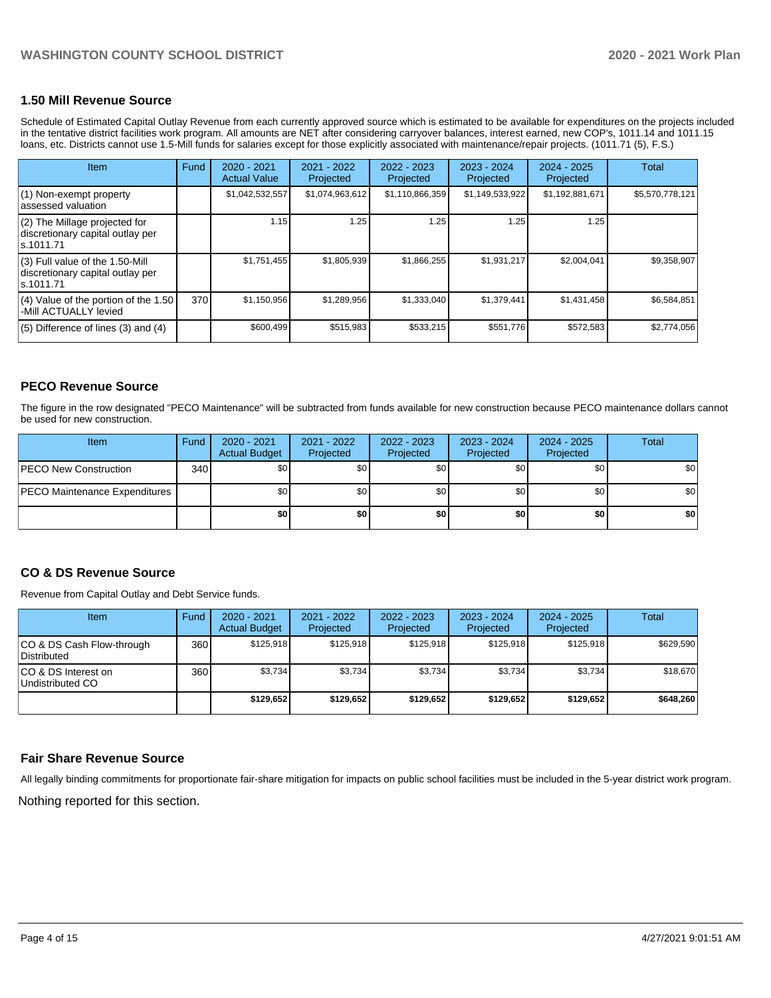#### **1.50 Mill Revenue Source**

Schedule of Estimated Capital Outlay Revenue from each currently approved source which is estimated to be available for expenditures on the projects included in the tentative district facilities work program. All amounts are NET after considering carryover balances, interest earned, new COP's, 1011.14 and 1011.15 loans, etc. Districts cannot use 1.5-Mill funds for salaries except for those explicitly associated with maintenance/repair projects. (1011.71 (5), F.S.)

| <b>Item</b>                                                                         | Fund | $2020 - 2021$<br><b>Actual Value</b> | 2021 - 2022<br>Projected | 2022 - 2023<br>Projected | $2023 - 2024$<br>Projected | $2024 - 2025$<br>Projected | Total           |
|-------------------------------------------------------------------------------------|------|--------------------------------------|--------------------------|--------------------------|----------------------------|----------------------------|-----------------|
| (1) Non-exempt property<br>lassessed valuation                                      |      | \$1,042,532,557                      | \$1,074,963,612          | \$1,110,866,359          | \$1,149,533,922            | \$1,192,881,671            | \$5,570,778,121 |
| $(2)$ The Millage projected for<br>discretionary capital outlay per<br>ls.1011.71   |      | 1.15                                 | 1.25                     | 1.25                     | 1.25                       | 1.25                       |                 |
| $(3)$ Full value of the 1.50-Mill<br>discretionary capital outlay per<br>ls.1011.71 |      | \$1,751,455                          | \$1,805,939              | \$1,866,255              | \$1,931,217                | \$2,004,041                | \$9,358,907     |
| $(4)$ Value of the portion of the 1.50<br>-Mill ACTUALLY levied                     | 370  | \$1,150,956                          | \$1,289,956              | \$1,333,040              | \$1,379,441                | \$1,431,458                | \$6,584,851     |
| $(5)$ Difference of lines $(3)$ and $(4)$                                           |      | \$600,499                            | \$515,983                | \$533,215                | \$551,776                  | \$572,583                  | \$2,774,056     |

## **PECO Revenue Source**

The figure in the row designated "PECO Maintenance" will be subtracted from funds available for new construction because PECO maintenance dollars cannot be used for new construction.

| <b>Item</b>                          | Fund | $2020 - 2021$<br><b>Actual Budget</b> | 2021 - 2022<br>Projected | 2022 - 2023<br>Projected | 2023 - 2024<br>Projected | 2024 - 2025<br>Projected | <b>Total</b> |
|--------------------------------------|------|---------------------------------------|--------------------------|--------------------------|--------------------------|--------------------------|--------------|
| <b>IPECO New Construction</b>        | 340  | \$0                                   | \$0                      | \$0                      | \$0                      | \$0                      | <b>\$01</b>  |
| <b>PECO Maintenance Expenditures</b> |      | \$0                                   | \$0                      | \$0                      | \$0                      | \$0 <sub>1</sub>         | <b>\$01</b>  |
|                                      |      | \$0                                   | \$0                      | \$0                      | \$0                      | \$0                      | \$0          |

#### **CO & DS Revenue Source**

Revenue from Capital Outlay and Debt Service funds.

| Item                                     | Fund  | $2020 - 2021$<br><b>Actual Budget</b> | 2021 - 2022<br>Projected | 2022 - 2023<br>Projected | $2023 - 2024$<br>Projected | $2024 - 2025$<br>Projected | Total     |
|------------------------------------------|-------|---------------------------------------|--------------------------|--------------------------|----------------------------|----------------------------|-----------|
| CO & DS Cash Flow-through<br>Distributed | 360 l | \$125.918                             | \$125.918                | \$125.918                | \$125.918                  | \$125.918                  | \$629,590 |
| ICO & DS Interest on<br>Undistributed CO | 360 l | \$3,734                               | \$3,734                  | \$3,734                  | \$3,734                    | \$3,734                    | \$18,670  |
|                                          |       | \$129.652                             | \$129.652                | \$129.652                | \$129.652                  | \$129.652                  | \$648,260 |

#### **Fair Share Revenue Source**

All legally binding commitments for proportionate fair-share mitigation for impacts on public school facilities must be included in the 5-year district work program.

Nothing reported for this section.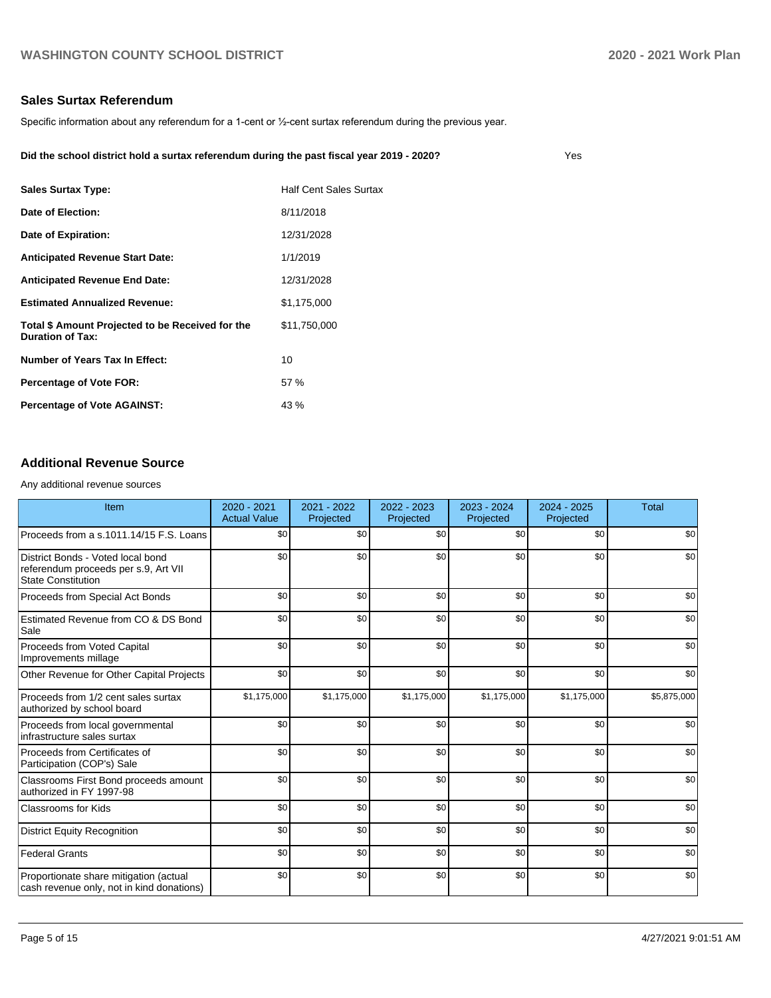Yes

## **Sales Surtax Referendum**

Specific information about any referendum for a 1-cent or ½-cent surtax referendum during the previous year.

| Did the school district hold a surtax referendum during the past fiscal year 2019 - 2020? |  |
|-------------------------------------------------------------------------------------------|--|
|                                                                                           |  |

| <b>Sales Surtax Type:</b>                                            | <b>Half Cent Sales Surtax</b> |
|----------------------------------------------------------------------|-------------------------------|
| Date of Election:                                                    | 8/11/2018                     |
| Date of Expiration:                                                  | 12/31/2028                    |
| Anticipated Revenue Start Date:                                      | 1/1/2019                      |
| <b>Anticipated Revenue End Date:</b>                                 | 12/31/2028                    |
| <b>Estimated Annualized Revenue:</b>                                 | \$1,175,000                   |
| Total \$ Amount Projected to be Received for the<br>Duration of Tax: | \$11.750.000                  |
| Number of Years Tax In Effect:                                       | 10                            |
| <b>Percentage of Vote FOR:</b>                                       | 57 %                          |
| Percentage of Vote AGAINST:                                          | 43 %                          |

## **Additional Revenue Source**

Any additional revenue sources

| <b>Item</b>                                                                                            | $2020 - 2021$<br><b>Actual Value</b> | 2021 - 2022<br>Projected | 2022 - 2023<br>Projected | $2023 - 2024$<br>Projected | $2024 - 2025$<br>Projected | <b>Total</b> |
|--------------------------------------------------------------------------------------------------------|--------------------------------------|--------------------------|--------------------------|----------------------------|----------------------------|--------------|
| Proceeds from a s.1011.14/15 F.S. Loans                                                                | \$0                                  | \$0                      | \$0                      | \$0                        | \$0                        | \$0          |
| District Bonds - Voted local bond<br>referendum proceeds per s.9, Art VII<br><b>State Constitution</b> | \$0                                  | \$0                      | \$0                      | \$0                        | \$0                        | \$0          |
| Proceeds from Special Act Bonds                                                                        | \$0                                  | \$0                      | \$0                      | \$0                        | \$0                        | \$0          |
| Estimated Revenue from CO & DS Bond<br>Sale                                                            | \$0                                  | \$0                      | \$0                      | \$0                        | \$0                        | \$0          |
| Proceeds from Voted Capital<br>Improvements millage                                                    | \$0                                  | \$0                      | \$0                      | \$0                        | \$0                        | \$0          |
| Other Revenue for Other Capital Projects                                                               | \$0                                  | \$0                      | \$0                      | \$0                        | \$0                        | \$0          |
| Proceeds from 1/2 cent sales surtax<br>authorized by school board                                      | \$1,175,000                          | \$1,175,000              | \$1,175,000              | \$1,175,000                | \$1,175,000                | \$5,875,000  |
| Proceeds from local governmental<br>infrastructure sales surtax                                        | \$0                                  | \$0                      | \$0                      | \$0                        | \$0                        | \$0          |
| Proceeds from Certificates of<br>Participation (COP's) Sale                                            | \$0                                  | \$0                      | \$0                      | \$0                        | \$0                        | \$0          |
| Classrooms First Bond proceeds amount<br>authorized in FY 1997-98                                      | \$0                                  | \$0                      | \$0                      | \$0                        | \$0                        | \$0          |
| <b>Classrooms for Kids</b>                                                                             | \$0                                  | \$0                      | \$0                      | \$0                        | \$0                        | \$0          |
| <b>District Equity Recognition</b>                                                                     | \$0                                  | \$0                      | \$0                      | \$0                        | \$0                        | \$0          |
| <b>Federal Grants</b>                                                                                  | \$0                                  | \$0                      | \$0                      | \$0                        | \$0                        | \$0          |
| Proportionate share mitigation (actual<br>cash revenue only, not in kind donations)                    | \$0                                  | \$0                      | \$0                      | \$0                        | \$0                        | \$0          |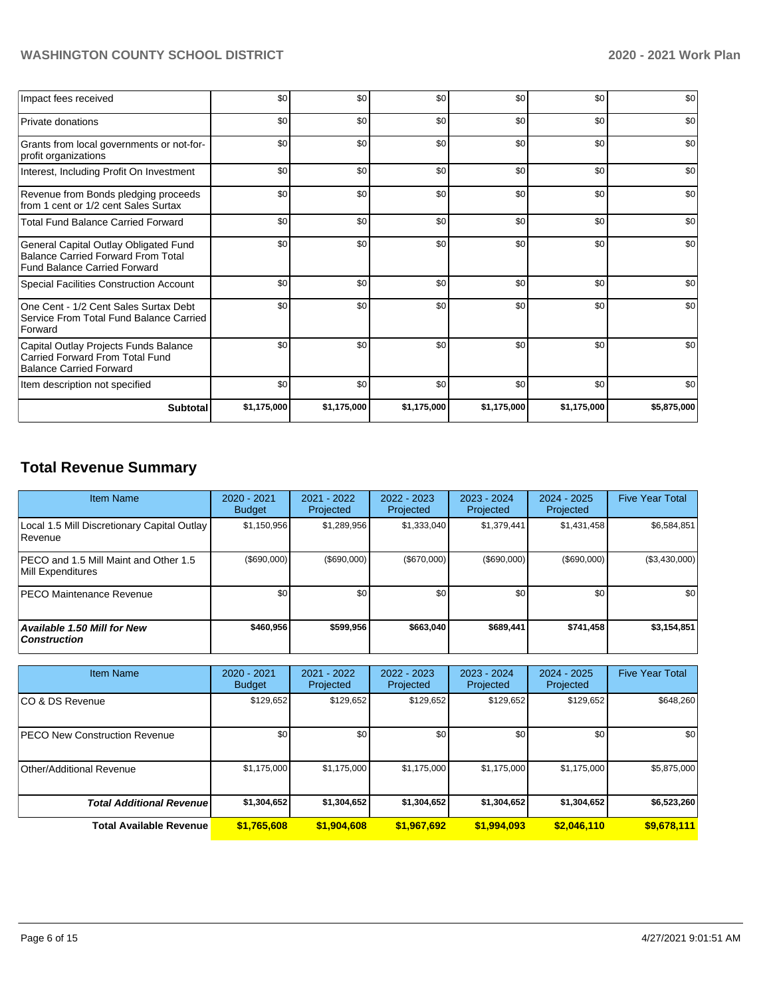## **WASHINGTON COUNTY SCHOOL DISTRICT 2020 - 2021 Work Plan**

| Impact fees received                                                                                                      | \$0         | \$0         | \$0         | \$0         | \$0         | \$0         |
|---------------------------------------------------------------------------------------------------------------------------|-------------|-------------|-------------|-------------|-------------|-------------|
| Private donations                                                                                                         | \$0         | \$0         | \$0         | \$0         | \$0         | \$0         |
| Grants from local governments or not-for-<br>profit organizations                                                         | \$0         | \$0         | \$0         | \$0         | \$0         | \$0         |
| Interest, Including Profit On Investment                                                                                  | \$0         | \$0         | \$0         | \$0         | \$0         | \$0         |
| Revenue from Bonds pledging proceeds<br>from 1 cent or 1/2 cent Sales Surtax                                              | \$0         | \$0         | \$0         | \$0         | \$0         | \$0         |
| <b>Total Fund Balance Carried Forward</b>                                                                                 | \$0         | \$0         | \$0         | \$0         | \$0         | \$0         |
| General Capital Outlay Obligated Fund<br><b>Balance Carried Forward From Total</b><br><b>Fund Balance Carried Forward</b> | \$0         | \$0         | \$0         | \$0         | \$0         | \$0         |
| <b>Special Facilities Construction Account</b>                                                                            | \$0         | \$0         | \$0         | \$0         | \$0         | \$0         |
| One Cent - 1/2 Cent Sales Surtax Debt<br>Service From Total Fund Balance Carried<br>Forward                               | \$0         | \$0         | \$0         | \$0         | \$0         | \$0         |
| Capital Outlay Projects Funds Balance<br>Carried Forward From Total Fund<br><b>Balance Carried Forward</b>                | \$0         | \$0         | \$0         | \$0         | \$0         | \$0         |
| Item description not specified                                                                                            | \$0         | \$0         | \$0         | \$0         | \$0         | \$0         |
| <b>Subtotal</b>                                                                                                           | \$1,175,000 | \$1,175,000 | \$1,175,000 | \$1,175,000 | \$1,175,000 | \$5,875,000 |

# **Total Revenue Summary**

| <b>Item Name</b>                                            | 2020 - 2021<br><b>Budget</b> | 2021 - 2022<br>Projected | 2022 - 2023<br>Projected | $2023 - 2024$<br>Projected | 2024 - 2025<br>Projected | <b>Five Year Total</b> |
|-------------------------------------------------------------|------------------------------|--------------------------|--------------------------|----------------------------|--------------------------|------------------------|
| Local 1.5 Mill Discretionary Capital Outlay<br> Revenue     | \$1,150,956                  | \$1,289,956              | \$1,333,040              | \$1,379,441                | \$1,431,458              | \$6,584,851            |
| IPECO and 1.5 Mill Maint and Other 1.5<br>Mill Expenditures | (\$690,000)                  | (S690.000)               | (S670.000)               | (\$690,000)                | (\$690,000)              | $(\$3,430,000)$        |
| <b>IPECO Maintenance Revenue</b>                            | \$0                          | \$0                      | \$0                      | \$0 <sub>1</sub>           | \$0                      | \$0                    |
| <b>Available 1.50 Mill for New</b><br>  Construction        | \$460.956                    | \$599.956                | \$663.040                | \$689,441                  | \$741,458                | \$3,154,851            |

| <b>Item Name</b>                      | $2020 - 2021$<br><b>Budget</b> | 2021 - 2022<br>Projected | 2022 - 2023<br>Projected | $2023 - 2024$<br>Projected | $2024 - 2025$<br>Projected | <b>Five Year Total</b> |
|---------------------------------------|--------------------------------|--------------------------|--------------------------|----------------------------|----------------------------|------------------------|
| ICO & DS Revenue                      | \$129,652                      | \$129,652                | \$129,652                | \$129,652                  | \$129,652                  | \$648,260              |
| <b>IPECO New Construction Revenue</b> | \$0                            | \$0                      | \$0                      | \$0                        | \$0 <sub>1</sub>           | \$0                    |
| Other/Additional Revenue              | \$1,175,000                    | \$1,175,000              | \$1,175,000              | \$1,175,000                | \$1,175,000                | \$5,875,000            |
| <b>Total Additional Revenuel</b>      | \$1,304,652                    | \$1,304,652              | \$1,304,652              | \$1,304,652                | \$1,304,652                | \$6,523,260            |
| <b>Total Available Revenue</b>        | \$1,765,608                    | \$1,904,608              | \$1,967,692              | \$1,994,093                | \$2,046,110                | \$9,678,111            |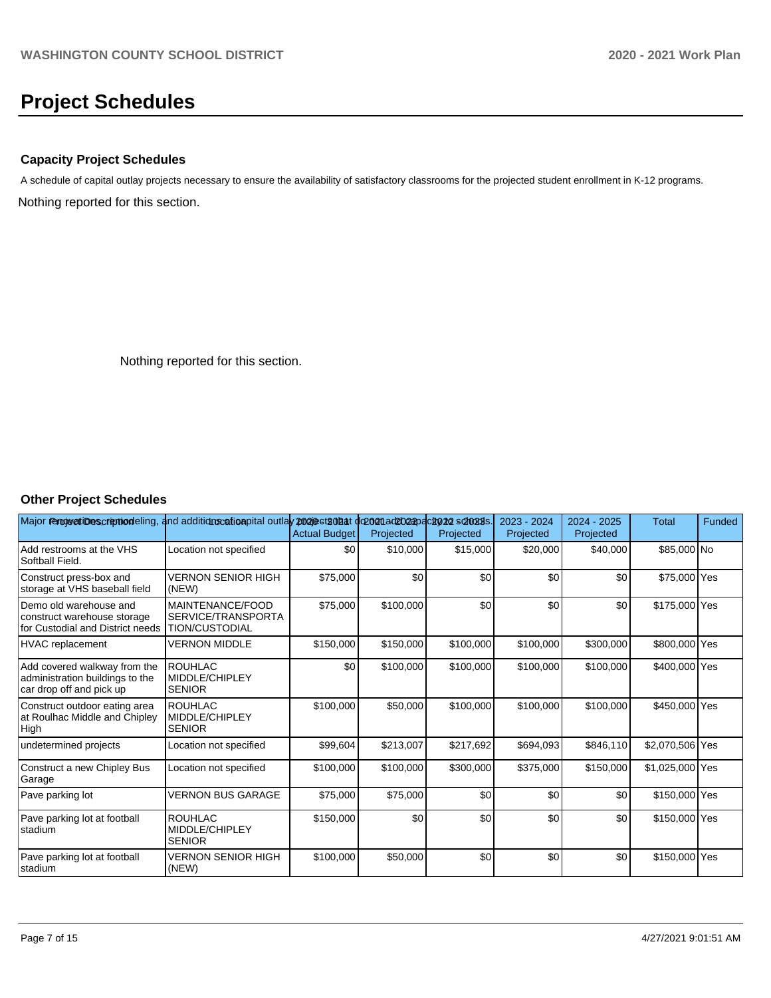# **Project Schedules**

## **Capacity Project Schedules**

Nothing reported for this section. A schedule of capital outlay projects necessary to ensure the availability of satisfactory classrooms for the projected student enrollment in K-12 programs.

Nothing reported for this section.

## **Other Project Schedules**

| Major removertibuscription deling, and additions cation pital outlay projects on at doport addosspections schools. |                                                                 | <b>Actual Budget</b> | Projected | Projected | 2023 - 2024<br>Projected | 2024 - 2025<br>Projected | <b>Total</b>    | Funded |
|--------------------------------------------------------------------------------------------------------------------|-----------------------------------------------------------------|----------------------|-----------|-----------|--------------------------|--------------------------|-----------------|--------|
| Add restrooms at the VHS<br>Softball Field.                                                                        | Location not specified                                          | \$0                  | \$10,000  | \$15,000  | \$20,000                 | \$40,000                 | \$85,000 No     |        |
| Construct press-box and<br>storage at VHS baseball field                                                           | <b>VERNON SENIOR HIGH</b><br>(NEW)                              | \$75,000             | \$0       | \$0       | \$0                      | \$0                      | \$75,000 Yes    |        |
| Demo old warehouse and<br>construct warehouse storage<br>for Custodial and District needs                          | MAINTENANCE/FOOD<br>SERVICE/TRANSPORTA<br><b>TION/CUSTODIAL</b> | \$75,000             | \$100,000 | \$0       | \$0                      | \$0                      | \$175,000 Yes   |        |
| <b>HVAC</b> replacement                                                                                            | <b>VERNON MIDDLE</b>                                            | \$150,000            | \$150,000 | \$100,000 | \$100,000                | \$300,000                | \$800,000 Yes   |        |
| Add covered walkway from the<br>administration buildings to the<br>car drop off and pick up                        | <b>ROUHLAC</b><br>MIDDLE/CHIPLEY<br><b>SENIOR</b>               | \$0                  | \$100,000 | \$100,000 | \$100,000                | \$100,000                | \$400,000 Yes   |        |
| Construct outdoor eating area<br>at Roulhac Middle and Chipley<br>High                                             | <b>ROUHLAC</b><br>MIDDLE/CHIPLEY<br><b>SENIOR</b>               | \$100,000            | \$50,000  | \$100,000 | \$100,000                | \$100,000                | \$450,000 Yes   |        |
| undetermined projects                                                                                              | Location not specified                                          | \$99,604             | \$213,007 | \$217,692 | \$694,093                | \$846,110                | \$2,070,506 Yes |        |
| Construct a new Chipley Bus<br>Garage                                                                              | Location not specified                                          | \$100,000            | \$100,000 | \$300,000 | \$375,000                | \$150,000                | \$1,025,000 Yes |        |
| Pave parking lot                                                                                                   | <b>VERNON BUS GARAGE</b>                                        | \$75,000             | \$75,000  | \$0       | \$0                      | \$0                      | \$150,000 Yes   |        |
| Pave parking lot at football<br>stadium                                                                            | <b>ROUHLAC</b><br>MIDDLE/CHIPLEY<br><b>SENIOR</b>               | \$150,000            | \$0       | \$0       | \$0                      | \$0                      | \$150,000 Yes   |        |
| Pave parking lot at football<br>stadium                                                                            | <b>VERNON SENIOR HIGH</b><br>(NEW)                              | \$100,000            | \$50,000  | \$0       | \$0                      | \$0                      | \$150,000 Yes   |        |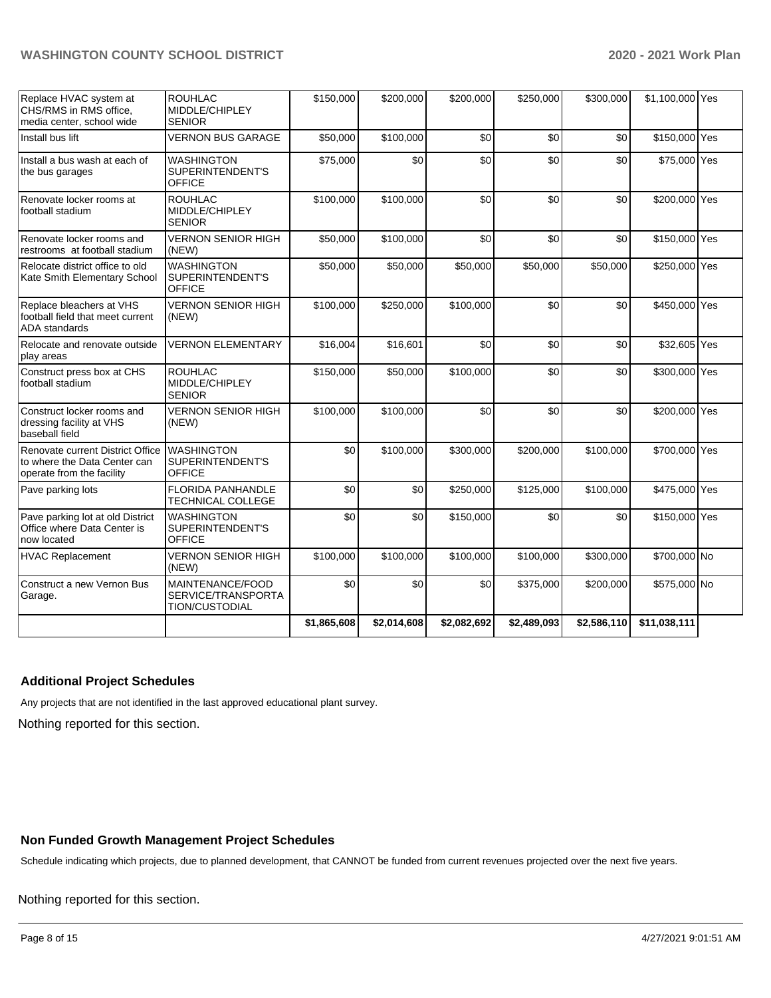## **WASHINGTON COUNTY SCHOOL DISTRICT 2020 - 2021 Work Plan**

| Replace HVAC system at<br>CHS/RMS in RMS office,<br>media center, school wide                 | <b>ROUHLAC</b><br>MIDDLE/CHIPLEY<br><b>SENIOR</b>               | \$150,000   | \$200,000   | \$200,000   | \$250,000   | \$300,000   | \$1,100,000 Yes |  |
|-----------------------------------------------------------------------------------------------|-----------------------------------------------------------------|-------------|-------------|-------------|-------------|-------------|-----------------|--|
| Install bus lift                                                                              | <b>VERNON BUS GARAGE</b>                                        | \$50,000    | \$100,000   | \$0         | \$0         | \$0         | \$150,000 Yes   |  |
| Install a bus wash at each of<br>the bus garages                                              | <b>WASHINGTON</b><br>SUPERINTENDENT'S<br><b>OFFICE</b>          | \$75,000    | \$0         | \$0         | \$0         | \$0         | \$75,000 Yes    |  |
| Renovate locker rooms at<br>football stadium                                                  | <b>ROUHLAC</b><br>MIDDLE/CHIPLEY<br><b>SENIOR</b>               | \$100,000   | \$100,000   | \$0         | \$0         | \$0         | \$200,000 Yes   |  |
| Renovate locker rooms and<br>restrooms at football stadium                                    | <b>VERNON SENIOR HIGH</b><br>(NEW)                              | \$50,000    | \$100,000   | \$0         | \$0         | \$0         | \$150,000 Yes   |  |
| Relocate district office to old<br>Kate Smith Elementary School                               | <b>WASHINGTON</b><br>SUPERINTENDENT'S<br><b>OFFICE</b>          | \$50,000    | \$50,000    | \$50,000    | \$50,000    | \$50,000    | \$250,000 Yes   |  |
| Replace bleachers at VHS<br>football field that meet current<br><b>ADA</b> standards          | <b>VERNON SENIOR HIGH</b><br>(NEW)                              | \$100,000   | \$250,000   | \$100,000   | \$0         | \$0         | \$450,000 Yes   |  |
| Relocate and renovate outside<br>play areas                                                   | <b>VERNON ELEMENTARY</b>                                        | \$16,004    | \$16,601    | \$0         | \$0         | \$0         | \$32,605 Yes    |  |
| Construct press box at CHS<br>football stadium                                                | <b>ROUHLAC</b><br>MIDDLE/CHIPLEY<br><b>SENIOR</b>               | \$150,000   | \$50,000    | \$100,000   | \$0         | \$0         | \$300,000 Yes   |  |
| Construct locker rooms and<br>dressing facility at VHS<br>baseball field                      | <b>VERNON SENIOR HIGH</b><br>(NEW)                              | \$100,000   | \$100,000   | \$0         | \$0         | \$0         | \$200,000 Yes   |  |
| Renovate current District Office<br>to where the Data Center can<br>operate from the facility | <b>WASHINGTON</b><br>SUPERINTENDENT'S<br><b>OFFICE</b>          | \$0         | \$100,000   | \$300,000   | \$200,000   | \$100,000   | \$700,000 Yes   |  |
| Pave parking lots                                                                             | <b>FLORIDA PANHANDLE</b><br><b>TECHNICAL COLLEGE</b>            | \$0         | \$0         | \$250,000   | \$125,000   | \$100,000   | \$475,000 Yes   |  |
| Pave parking lot at old District<br>Office where Data Center is<br>now located                | <b>WASHINGTON</b><br>SUPERINTENDENT'S<br><b>OFFICE</b>          | \$0         | \$0         | \$150,000   | \$0         | \$0         | \$150,000 Yes   |  |
| <b>HVAC Replacement</b>                                                                       | <b>VERNON SENIOR HIGH</b><br>(NEW)                              | \$100,000   | \$100,000   | \$100,000   | \$100,000   | \$300,000   | \$700,000 No    |  |
| Construct a new Vernon Bus<br>Garage.                                                         | MAINTENANCE/FOOD<br>SERVICE/TRANSPORTA<br><b>TION/CUSTODIAL</b> | \$0         | \$0         | \$0         | \$375,000   | \$200,000   | \$575,000 No    |  |
|                                                                                               |                                                                 | \$1,865,608 | \$2,014,608 | \$2,082,692 | \$2,489,093 | \$2,586,110 | \$11,038,111    |  |

#### **Additional Project Schedules**

Any projects that are not identified in the last approved educational plant survey.

Nothing reported for this section.

## **Non Funded Growth Management Project Schedules**

Schedule indicating which projects, due to planned development, that CANNOT be funded from current revenues projected over the next five years.

#### Nothing reported for this section.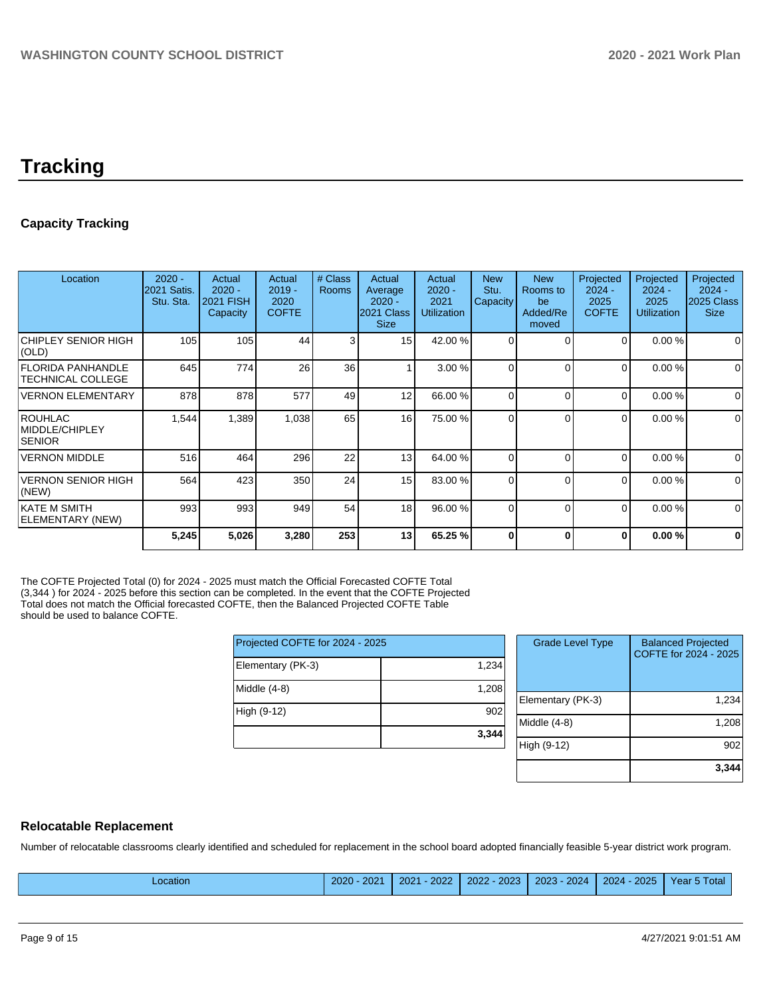## **Tracking**

## **Capacity Tracking**

| Location                                             | $2020 -$<br><b>2021 Satis.</b><br>Stu. Sta. | Actual<br>$2020 -$<br><b>2021 FISH</b><br>Capacity | Actual<br>$2019 -$<br>2020<br><b>COFTE</b> | # Class<br><b>Rooms</b> | Actual<br>Average<br>$2020 -$<br>2021 Class<br><b>Size</b> | Actual<br>$2020 -$<br>2021<br><b>Utilization</b> | <b>New</b><br>Stu.<br>Capacity | <b>New</b><br>Rooms to<br>be<br>Added/Re<br>moved | Projected<br>$2024 -$<br>2025<br><b>COFTE</b> | Projected<br>$2024 -$<br>2025<br><b>Utilization</b> | Projected<br>$2024 -$<br>2025 Class<br><b>Size</b> |
|------------------------------------------------------|---------------------------------------------|----------------------------------------------------|--------------------------------------------|-------------------------|------------------------------------------------------------|--------------------------------------------------|--------------------------------|---------------------------------------------------|-----------------------------------------------|-----------------------------------------------------|----------------------------------------------------|
| <b>CHIPLEY SENIOR HIGH</b><br>$\vert$ (OLD)          | 105                                         | 105                                                | 44                                         | 3                       | 15 <sup>1</sup>                                            | 42.00 %                                          |                                | $\Omega$                                          | $\Omega$                                      | 0.00%                                               | 0                                                  |
| <b>FLORIDA PANHANDLE</b><br><b>TECHNICAL COLLEGE</b> | 645                                         | 774                                                | 26                                         | 36                      |                                                            | 3.00 %                                           | $\Omega$                       | $\Omega$                                          | $\Omega$                                      | 0.00%                                               | 0                                                  |
| <b>VERNON ELEMENTARY</b>                             | 878                                         | 878                                                | 577                                        | 49                      | 12                                                         | 66.00 %                                          | $\Omega$                       | $\Omega$                                          | $\Omega$                                      | 0.00%                                               | $\Omega$                                           |
| ROUHLAC<br>MIDDLE/CHIPLEY<br><b>SENIOR</b>           | 1,544                                       | 1,389                                              | 1,038                                      | 65                      | 16                                                         | 75.00 %                                          | $\Omega$                       | $\Omega$                                          | $\Omega$                                      | 0.00%                                               | $\mathbf 0$                                        |
| <b>VERNON MIDDLE</b>                                 | 516                                         | 464                                                | 296                                        | 22                      | 13                                                         | 64.00 %                                          | $\Omega$                       | $\Omega$                                          | $\Omega$                                      | 0.00%                                               | 0                                                  |
| <b>VERNON SENIOR HIGH</b><br>(NEW)                   | 564                                         | 423                                                | 350                                        | 24                      | 15                                                         | 83.00 %                                          | $\Omega$                       | $\Omega$                                          | $\Omega$                                      | 0.00%                                               | $\mathbf 0$                                        |
| <b>IKATE M SMITH</b><br>ELEMENTARY (NEW)             | 993                                         | 993                                                | 949                                        | 54                      | 18                                                         | 96.00 %                                          | $\Omega$                       | $\Omega$                                          | 0                                             | 0.00%                                               | $\mathbf 0$                                        |
|                                                      | 5,245                                       | 5,026                                              | 3,280                                      | 253                     | 13                                                         | 65.25 %                                          | ŋ                              | 0                                                 | 0                                             | 0.00%                                               | 0                                                  |

The COFTE Projected Total (0) for 2024 - 2025 must match the Official Forecasted COFTE Total (3,344 ) for 2024 - 2025 before this section can be completed. In the event that the COFTE Projected Total does not match the Official forecasted COFTE, then the Balanced Projected COFTE Table should be used to balance COFTE.

| 1,234 |
|-------|
| 1,208 |
| 902   |
| 3,344 |
|       |

| <b>Grade Level Type</b> | <b>Balanced Projected</b><br>COFTE for 2024 - 2025 |
|-------------------------|----------------------------------------------------|
| Elementary (PK-3)       | 1,234                                              |
| Middle (4-8)            | 1,208                                              |
| High (9-12)             | 902                                                |
|                         | 3,344                                              |

#### **Relocatable Replacement**

Number of relocatable classrooms clearly identified and scheduled for replacement in the school board adopted financially feasible 5-year district work program.

| _ocation | 2020<br>$\Omega$<br>207 | 2022<br>2021 | 2023<br>2022 | 2024<br>nnoc<br>YU∠. | 2025<br>2024 | Tota<br>'ear |
|----------|-------------------------|--------------|--------------|----------------------|--------------|--------------|
|          |                         |              |              |                      |              |              |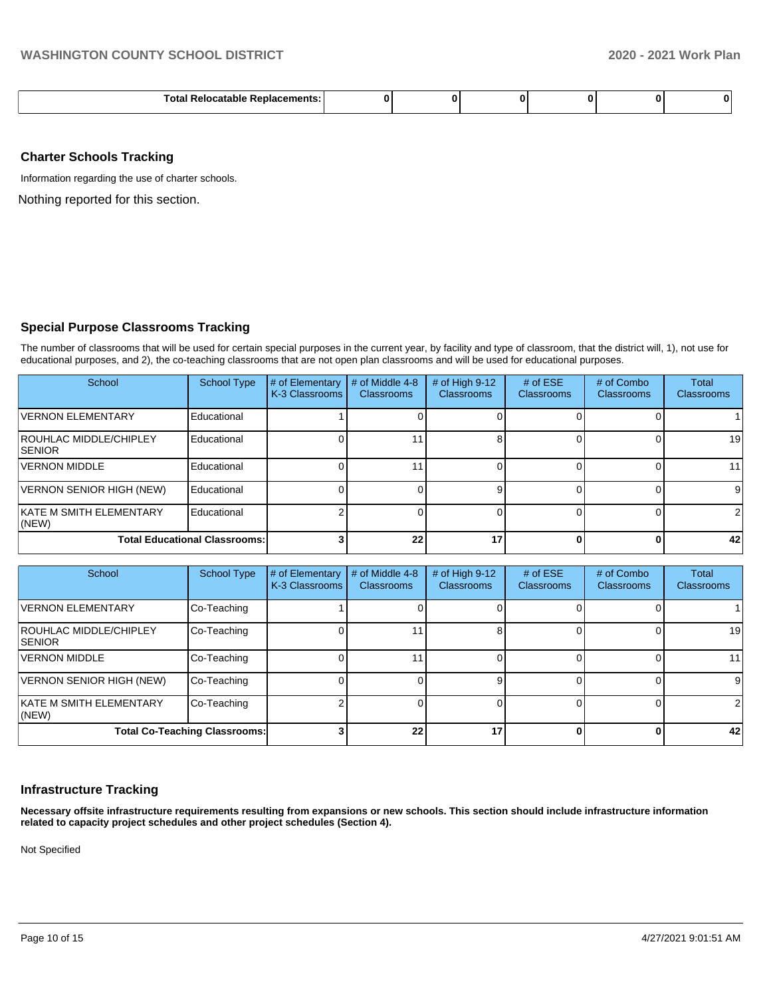| Tota<br>ור<br>.<br>. . |  |  |  |  |  |  |
|------------------------|--|--|--|--|--|--|
|------------------------|--|--|--|--|--|--|

#### **Charter Schools Tracking**

Information regarding the use of charter schools.

Nothing reported for this section.

## **Special Purpose Classrooms Tracking**

The number of classrooms that will be used for certain special purposes in the current year, by facility and type of classroom, that the district will, 1), not use for educational purposes, and 2), the co-teaching classrooms that are not open plan classrooms and will be used for educational purposes.

| School                                          | <b>School Type</b>                   | # of Elementary<br>K-3 Classrooms | # of Middle 4-8<br><b>Classrooms</b> | # of High $9-12$<br><b>Classrooms</b> | # of $ESE$<br>Classrooms | # of Combo<br><b>Classrooms</b> | <b>Total</b><br><b>Classrooms</b> |
|-------------------------------------------------|--------------------------------------|-----------------------------------|--------------------------------------|---------------------------------------|--------------------------|---------------------------------|-----------------------------------|
| <b>VERNON ELEMENTARY</b>                        | Educational                          |                                   |                                      |                                       |                          |                                 |                                   |
| <b>ROUHLAC MIDDLE/CHIPLEY</b><br><b>ISENIOR</b> | Educational                          |                                   |                                      |                                       |                          |                                 | 19                                |
| <b>VERNON MIDDLE</b>                            | Educational                          |                                   |                                      |                                       |                          |                                 | 11                                |
| VERNON SENIOR HIGH (NEW)                        | Educational                          |                                   |                                      |                                       |                          |                                 | 9                                 |
| KATE M SMITH ELEMENTARY<br>$ $ (NEW)            | Educational                          |                                   |                                      |                                       |                          |                                 | 2                                 |
|                                                 | <b>Total Educational Classrooms:</b> |                                   | 22                                   | 17                                    |                          |                                 | 42                                |

| School                                  | <b>School Type</b> | # of Elementary<br>K-3 Classrooms | # of Middle 4-8<br><b>Classrooms</b> | # of High $9-12$<br><b>Classrooms</b> | # of $ESE$<br>Classrooms | # of Combo<br><b>Classrooms</b> | Total<br><b>Classrooms</b> |
|-----------------------------------------|--------------------|-----------------------------------|--------------------------------------|---------------------------------------|--------------------------|---------------------------------|----------------------------|
| <b>VERNON ELEMENTARY</b>                | Co-Teaching        |                                   |                                      |                                       |                          |                                 |                            |
| ROUHLAC MIDDLE/CHIPLEY<br><b>SENIOR</b> | Co-Teaching        |                                   |                                      |                                       |                          |                                 | 19                         |
| <b>VERNON MIDDLE</b>                    | Co-Teaching        |                                   |                                      |                                       |                          |                                 | 11                         |
| VERNON SENIOR HIGH (NEW)                | Co-Teaching        |                                   |                                      |                                       |                          |                                 | 9                          |
| <b>KATE M SMITH ELEMENTARY</b><br>(NEW) | Co-Teaching        |                                   |                                      |                                       |                          |                                 | 2                          |
| <b>Total Co-Teaching Classrooms:</b>    |                    |                                   | 22                                   | 17                                    |                          |                                 | 42                         |

## **Infrastructure Tracking**

**Necessary offsite infrastructure requirements resulting from expansions or new schools. This section should include infrastructure information related to capacity project schedules and other project schedules (Section 4).** 

Not Specified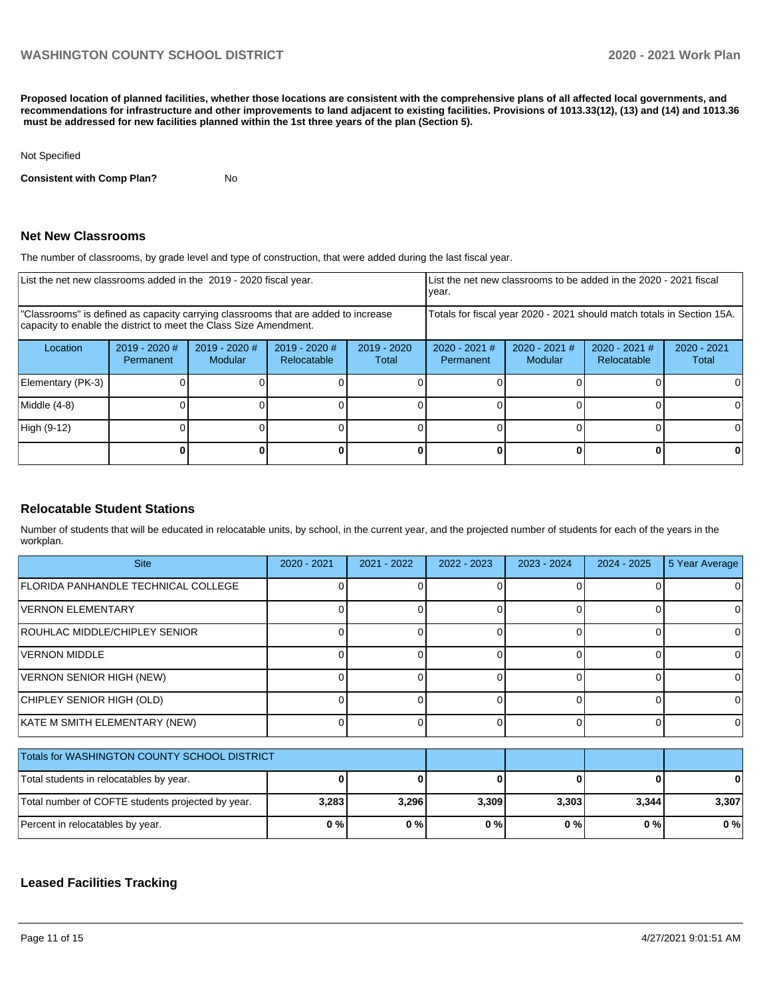**Proposed location of planned facilities, whether those locations are consistent with the comprehensive plans of all affected local governments, and recommendations for infrastructure and other improvements to land adjacent to existing facilities. Provisions of 1013.33(12), (13) and (14) and 1013.36 must be addressed for new facilities planned within the 1st three years of the plan (Section 5).** 

#### Not Specified

**Consistent with Comp Plan?** No

#### **Net New Classrooms**

The number of classrooms, by grade level and type of construction, that were added during the last fiscal year.

| List the net new classrooms added in the 2019 - 2020 fiscal year.                                                                                       |                            |                          |                                |                        | List the net new classrooms to be added in the 2020 - 2021 fiscal<br>year. |                            |                                |                        |
|---------------------------------------------------------------------------------------------------------------------------------------------------------|----------------------------|--------------------------|--------------------------------|------------------------|----------------------------------------------------------------------------|----------------------------|--------------------------------|------------------------|
| "Classrooms" is defined as capacity carrying classrooms that are added to increase<br>capacity to enable the district to meet the Class Size Amendment. |                            |                          |                                |                        | Totals for fiscal year 2020 - 2021 should match totals in Section 15A.     |                            |                                |                        |
| Location                                                                                                                                                | 2019 - 2020 #<br>Permanent | 2019 - 2020 #<br>Modular | $2019 - 2020$ #<br>Relocatable | $2019 - 2020$<br>Total | $2020 - 2021$ #<br>Permanent                                               | $2020 - 2021$ #<br>Modular | $2020 - 2021$ #<br>Relocatable | $2020 - 2021$<br>Total |
| Elementary (PK-3)                                                                                                                                       |                            |                          |                                |                        |                                                                            |                            |                                |                        |
| Middle (4-8)                                                                                                                                            |                            |                          |                                |                        |                                                                            |                            |                                |                        |
| High (9-12)                                                                                                                                             |                            |                          |                                |                        |                                                                            |                            |                                |                        |
|                                                                                                                                                         |                            |                          |                                |                        |                                                                            |                            | U                              |                        |

#### **Relocatable Student Stations**

Number of students that will be educated in relocatable units, by school, in the current year, and the projected number of students for each of the years in the workplan.

| <b>Site</b>                                       | $2020 - 2021$ | 2021 - 2022 | 2022 - 2023 | 2023 - 2024 | $2024 - 2025$ | 5 Year Average |
|---------------------------------------------------|---------------|-------------|-------------|-------------|---------------|----------------|
| FLORIDA PANHANDLE TECHNICAL COLLEGE               |               |             | 0           |             |               | 0              |
| VERNON ELEMENTARY                                 | <sup>0</sup>  |             | 0           |             | 0             | 0              |
| <b>ROUHLAC MIDDLE/CHIPLEY SENIOR</b>              |               |             | 0           | ∩           |               | 0              |
| <b>VERNON MIDDLE</b>                              |               |             | O           |             |               | 0              |
| VERNON SENIOR HIGH (NEW)                          |               |             | O           |             |               | 0              |
| CHIPLEY SENIOR HIGH (OLD)                         |               |             | n           |             |               | 0              |
| KATE M SMITH ELEMENTARY (NEW)                     |               |             | 0           |             | 0             | 0              |
| Totals for WASHINGTON COUNTY SCHOOL DISTRICT      |               |             |             |             |               |                |
| Total students in relocatables by year.           | C             |             | ŋ           | n           |               | 0              |
| Total number of COFTE students projected by year. | 3,283         | 3,296       | 3,309       | 3,303       | 3,344         | 3,307          |
| Percent in relocatables by year.                  | 0%            | 0%          | 0%          | 0%          | 0%            | 0%             |

## **Leased Facilities Tracking**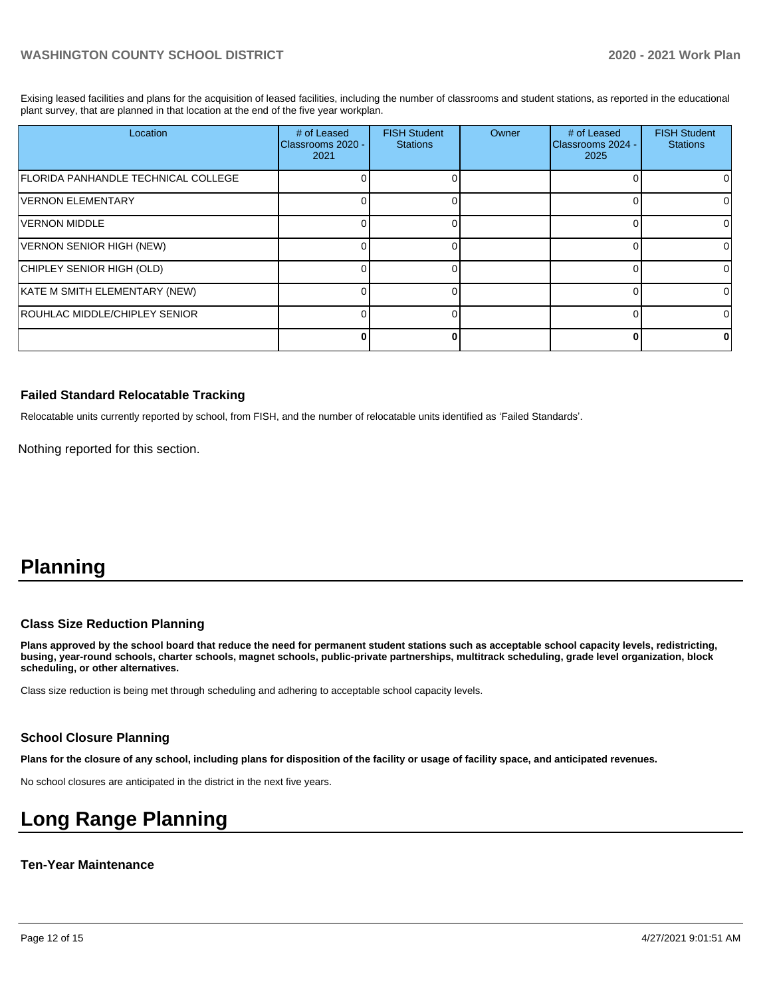Exising leased facilities and plans for the acquisition of leased facilities, including the number of classrooms and student stations, as reported in the educational plant survey, that are planned in that location at the end of the five year workplan.

| Location                            | # of Leased<br>Classrooms 2020 -<br>2021 | <b>FISH Student</b><br><b>Stations</b> | <b>Owner</b> | # of Leased<br>Classrooms 2024 -<br>2025 | <b>FISH Student</b><br><b>Stations</b> |
|-------------------------------------|------------------------------------------|----------------------------------------|--------------|------------------------------------------|----------------------------------------|
| FLORIDA PANHANDLE TECHNICAL COLLEGE |                                          |                                        |              |                                          |                                        |
| <b>VERNON ELEMENTARY</b>            |                                          |                                        |              |                                          |                                        |
| VERNON MIDDLE                       |                                          |                                        |              |                                          |                                        |
| VERNON SENIOR HIGH (NEW)            |                                          |                                        |              |                                          |                                        |
| CHIPLEY SENIOR HIGH (OLD)           |                                          |                                        |              |                                          |                                        |
| KATE M SMITH ELEMENTARY (NEW)       |                                          |                                        |              |                                          | 0                                      |
| ROUHLAC MIDDLE/CHIPLEY SENIOR       |                                          |                                        |              |                                          |                                        |
|                                     |                                          |                                        |              |                                          | o                                      |

#### **Failed Standard Relocatable Tracking**

Relocatable units currently reported by school, from FISH, and the number of relocatable units identified as 'Failed Standards'.

Nothing reported for this section.

## **Planning**

#### **Class Size Reduction Planning**

**Plans approved by the school board that reduce the need for permanent student stations such as acceptable school capacity levels, redistricting, busing, year-round schools, charter schools, magnet schools, public-private partnerships, multitrack scheduling, grade level organization, block scheduling, or other alternatives.**

Class size reduction is being met through scheduling and adhering to acceptable school capacity levels.

#### **School Closure Planning**

**Plans for the closure of any school, including plans for disposition of the facility or usage of facility space, and anticipated revenues.** 

No school closures are anticipated in the district in the next five years.

## **Long Range Planning**

#### **Ten-Year Maintenance**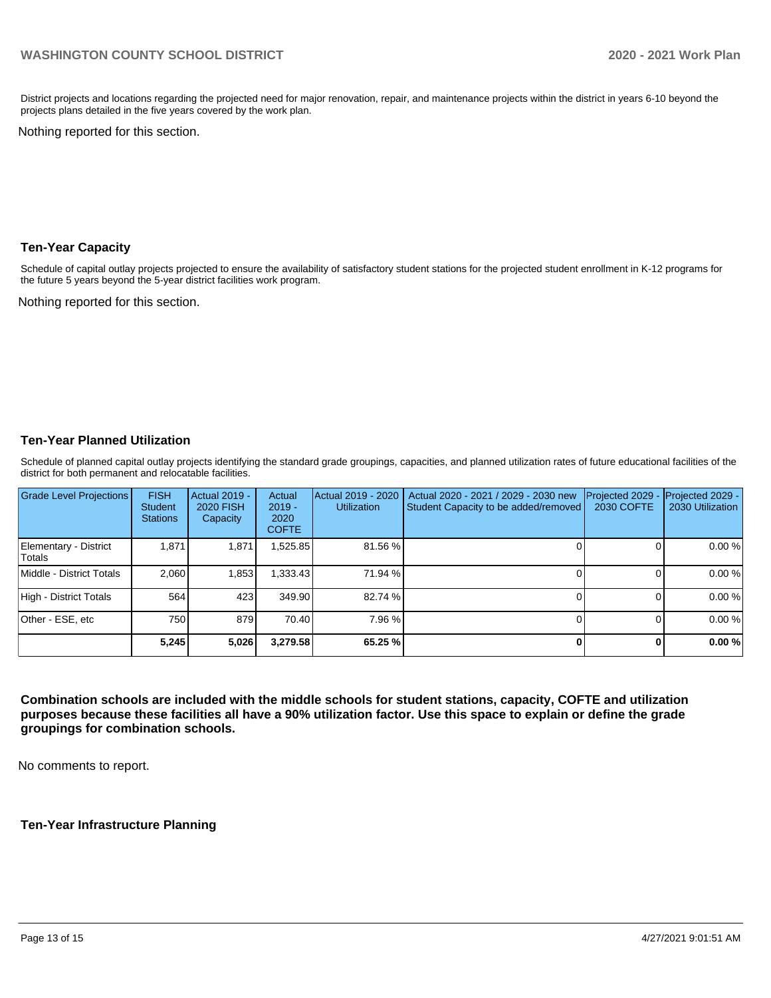District projects and locations regarding the projected need for major renovation, repair, and maintenance projects within the district in years 6-10 beyond the projects plans detailed in the five years covered by the work plan.

Nothing reported for this section.

#### **Ten-Year Capacity**

Schedule of capital outlay projects projected to ensure the availability of satisfactory student stations for the projected student enrollment in K-12 programs for the future 5 years beyond the 5-year district facilities work program.

Nothing reported for this section.

## **Ten-Year Planned Utilization**

Schedule of planned capital outlay projects identifying the standard grade groupings, capacities, and planned utilization rates of future educational facilities of the district for both permanent and relocatable facilities.

| Grade Level Projections         | <b>FISH</b><br><b>Student</b><br><b>Stations</b> | Actual 2019 -<br><b>2020 FISH</b><br>Capacity | Actual<br>$2019 -$<br>2020<br><b>COFTE</b> | Actual 2019 - 2020<br><b>Utilization</b> | Actual 2020 - 2021 / 2029 - 2030 new<br>Student Capacity to be added/removed | Projected 2029<br>2030 COFTE | Projected 2029 -<br>2030 Utilization |
|---------------------------------|--------------------------------------------------|-----------------------------------------------|--------------------------------------------|------------------------------------------|------------------------------------------------------------------------------|------------------------------|--------------------------------------|
| Elementary - District<br>Totals | 1.871                                            | 1,871                                         | ,525.85                                    | 81.56 %                                  |                                                                              |                              | 0.00%                                |
| Middle - District Totals        | 2.060                                            | 1,853                                         | ا333.43.ا                                  | 71.94 %                                  |                                                                              |                              | 0.00%                                |
| High - District Totals          | 564                                              | 423                                           | 349.90                                     | 82.74 %                                  |                                                                              |                              | 0.00%                                |
| Other - ESE, etc                | 750 l                                            | 879                                           | 70.40                                      | 7.96 %                                   |                                                                              |                              | 0.00%                                |
|                                 | 5,245                                            | 5,026                                         | 3,279.58                                   | 65.25 %                                  |                                                                              |                              | 0.00%                                |

**Combination schools are included with the middle schools for student stations, capacity, COFTE and utilization purposes because these facilities all have a 90% utilization factor. Use this space to explain or define the grade groupings for combination schools.** 

No comments to report.

**Ten-Year Infrastructure Planning**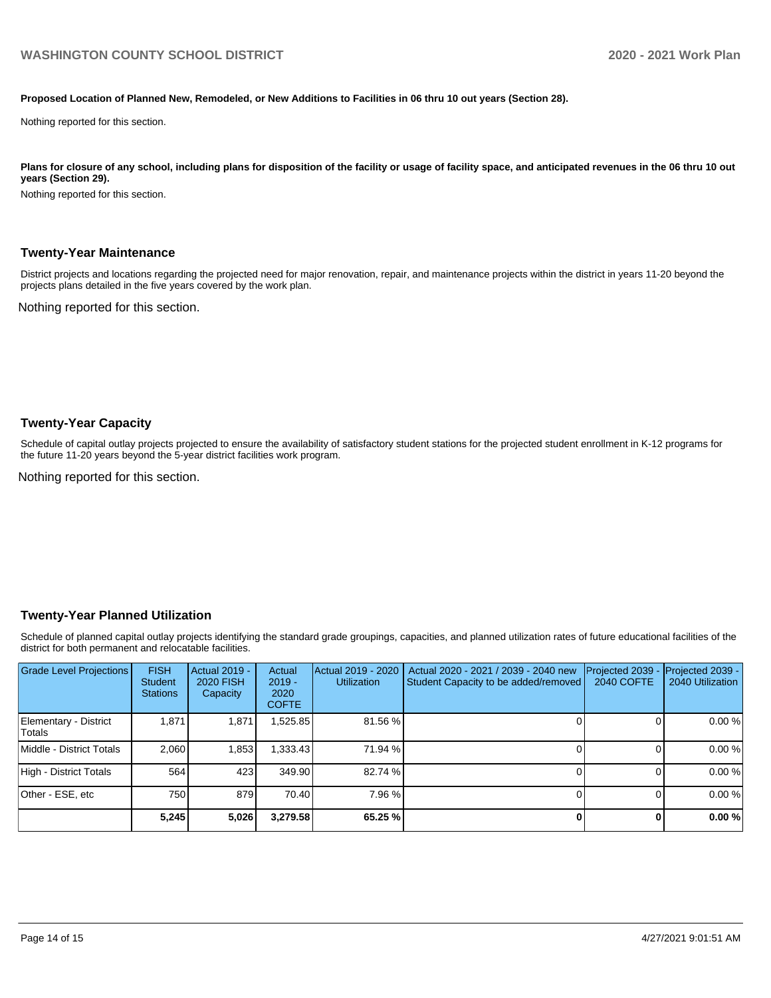#### **Proposed Location of Planned New, Remodeled, or New Additions to Facilities in 06 thru 10 out years (Section 28).**

Nothing reported for this section.

Plans for closure of any school, including plans for disposition of the facility or usage of facility space, and anticipated revenues in the 06 thru 10 out **years (Section 29).**

Nothing reported for this section.

#### **Twenty-Year Maintenance**

District projects and locations regarding the projected need for major renovation, repair, and maintenance projects within the district in years 11-20 beyond the projects plans detailed in the five years covered by the work plan.

Nothing reported for this section.

#### **Twenty-Year Capacity**

Schedule of capital outlay projects projected to ensure the availability of satisfactory student stations for the projected student enrollment in K-12 programs for the future 11-20 years beyond the 5-year district facilities work program.

Nothing reported for this section.

#### **Twenty-Year Planned Utilization**

Schedule of planned capital outlay projects identifying the standard grade groupings, capacities, and planned utilization rates of future educational facilities of the district for both permanent and relocatable facilities.

| <b>Grade Level Projections</b>   | <b>FISH</b><br><b>Student</b><br><b>Stations</b> | <b>Actual 2019 -</b><br><b>2020 FISH</b><br>Capacity | Actual<br>$2019 -$<br>2020<br><b>COFTE</b> | Actual 2019 - 2020<br><b>Utilization</b> | Actual 2020 - 2021 / 2039 - 2040 new<br>Student Capacity to be added/removed | Projected 2039<br>2040 COFTE | Projected 2039 -<br>2040 Utilization |
|----------------------------------|--------------------------------------------------|------------------------------------------------------|--------------------------------------------|------------------------------------------|------------------------------------------------------------------------------|------------------------------|--------------------------------------|
| Elementary - District<br> Totals | 1.871                                            | 1,871                                                | ,525.85                                    | 81.56 %                                  |                                                                              |                              | 0.00%                                |
| Middle - District Totals         | 2.060                                            | 1,853                                                | ,333.43                                    | 71.94 %                                  |                                                                              |                              | 0.00%                                |
| High - District Totals           | 564                                              | 423                                                  | 349.90                                     | 82.74 %                                  |                                                                              |                              | 0.00%                                |
| Other - ESE, etc                 | 750                                              | 879                                                  | 70.40                                      | 7.96 %                                   |                                                                              |                              | 0.00%                                |
|                                  | 5,245                                            | 5,026                                                | 3,279.58                                   | 65.25 %                                  |                                                                              |                              | 0.00%                                |